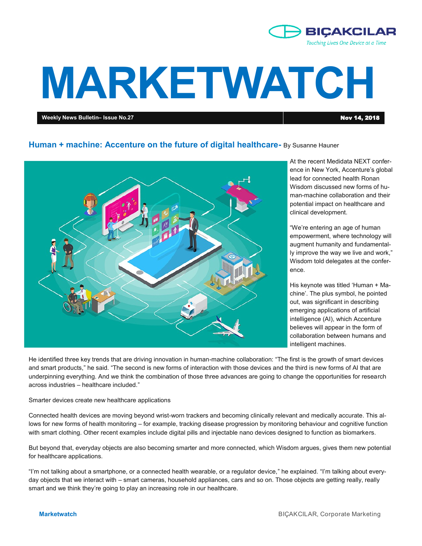

# **MARKETWATCH**

**Weekly News Bulletin– Issue No.27** Nov 14, 2018

## **Human + machine: Accenture on the future of digital healthcare-** By Susanne Hauner



At the recent Medidata NEXT conference in New York, Accenture's global lead for connected health Ronan Wisdom discussed new forms of human-machine collaboration and their potential impact on healthcare and clinical development.

"We're entering an age of human empowerment, where technology will augment humanity and fundamentally improve the way we live and work," Wisdom told delegates at the conference.

His keynote was titled 'Human + Machine'. The plus symbol, he pointed out, was significant in describing emerging applications of artificial intelligence (AI), which Accenture believes will appear in the form of collaboration between humans and intelligent machines.

He identified three key trends that are driving innovation in human-machine collaboration: "The first is the growth of smart devices and smart products," he said. "The second is new forms of interaction with those devices and the third is new forms of AI that are underpinning everything. And we think the combination of those three advances are going to change the opportunities for research across industries – healthcare included."

Smarter devices create new healthcare applications

Connected health devices are moving beyond wrist-worn trackers and becoming clinically relevant and medically accurate. This allows for new forms of health monitoring – for example, tracking disease progression by monitoring behaviour and cognitive function with smart clothing. Other recent examples include digital pills and injectable nano devices designed to function as biomarkers.

But beyond that, everyday objects are also becoming smarter and more connected, which Wisdom argues, gives them new potential for healthcare applications.

"I'm not talking about a smartphone, or a connected health wearable, or a regulator device," he explained. "I'm talking about everyday objects that we interact with – smart cameras, household appliances, cars and so on. Those objects are getting really, really smart and we think they're going to play an increasing role in our healthcare.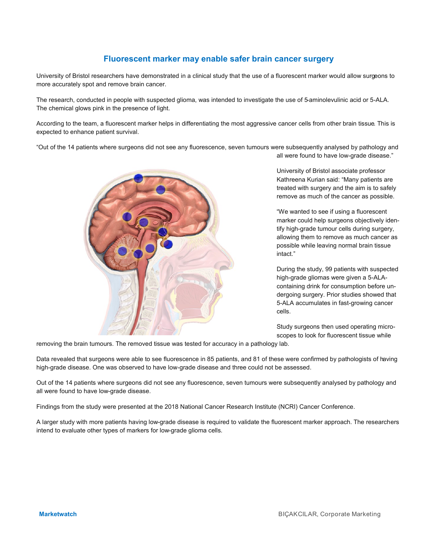# **Fluorescent marker may enable safer brain cancer surgery**

University of Bristol researchers have demonstrated in a clinical study that the use of a fluorescent marker would allow surgeons to more accurately spot and remove brain cancer.

The research, conducted in people with suspected glioma, was intended to investigate the use of 5-aminolevulinic acid or 5-ALA. The chemical glows pink in the presence of light.

According to the team, a fluorescent marker helps in differentiating the most aggressive cancer cells from other brain tissue. This is expected to enhance patient survival.

"Out of the 14 patients where surgeons did not see any fluorescence, seven tumours were subsequently analysed by pathology and all were found to have low-grade disease."



University of Bristol associate professor Kathreena Kurian said: "Many patients are treated with surgery and the aim is to safely remove as much of the cancer as possible.

"We wanted to see if using a fluorescent marker could help surgeons objectively identify high-grade tumour cells during surgery, allowing them to remove as much cancer as possible while leaving normal brain tissue intact."

During the study, 99 patients with suspected high-grade gliomas were given a 5-ALAcontaining drink for consumption before undergoing surgery. Prior studies showed that 5-ALA accumulates in fast-growing cancer cells.

Study surgeons then used operating microscopes to look for fluorescent tissue while

removing the brain tumours. The removed tissue was tested for accuracy in a pathology lab.

Data revealed that surgeons were able to see fluorescence in 85 patients, and 81 of these were confirmed by pathologists of having high-grade disease. One was observed to have low-grade disease and three could not be assessed.

Out of the 14 patients where surgeons did not see any fluorescence, seven tumours were subsequently analysed by pathology and all were found to have low-grade disease.

Findings from the study were presented at the 2018 National Cancer Research Institute (NCRI) Cancer Conference.

A larger study with more patients having low-grade disease is required to validate the fluorescent marker approach. The researchers intend to evaluate other types of markers for low-grade glioma cells.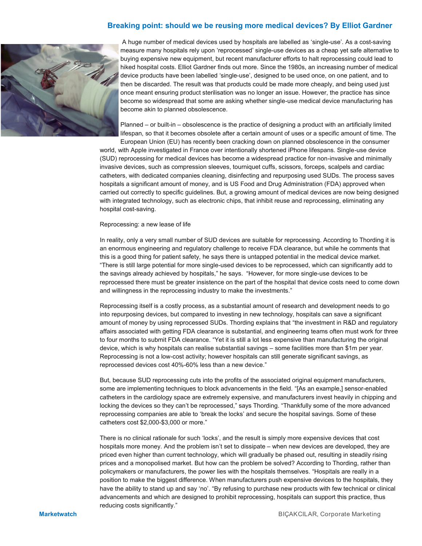## **Breaking point: should we be reusing more medical devices? By Elliot Gardner**



A huge number of medical devices used by hospitals are labelled as 'single-use'. As a cost-saving measure many hospitals rely upon 'reprocessed' single-use devices as a cheap yet safe alternative to buying expensive new equipment, but recent manufacturer efforts to halt reprocessing could lead to hiked hospital costs. Elliot Gardner finds out more. Since the 1980s, an increasing number of medical device products have been labelled 'single-use', designed to be used once, on one patient, and to then be discarded. The result was that products could be made more cheaply, and being used just once meant ensuring product sterilisation was no longer an issue. However, the practice has since become so widespread that some are asking whether single-use medical device manufacturing has become akin to planned obsolescence.

Planned – or built-in – obsolescence is the practice of designing a product with an artificially limited lifespan, so that it becomes obsolete after a certain amount of uses or a specific amount of time. The European Union (EU) has recently been cracking down on planned obsolescence in the consumer

world, with Apple investigated in France over intentionally shortened iPhone lifespans. Single-use device (SUD) reprocessing for medical devices has become a widespread practice for non-invasive and minimally invasive devices, such as compression sleeves, tourniquet cuffs, scissors, forceps, scalpels and cardiac catheters, with dedicated companies cleaning, disinfecting and repurposing used SUDs. The process saves hospitals a significant amount of money, and is US Food and Drug Administration (FDA) approved when carried out correctly to specific guidelines. But, a growing amount of medical devices are now being designed with integrated technology, such as electronic chips, that inhibit reuse and reprocessing, eliminating any hospital cost-saving.

#### Reprocessing: a new lease of life

In reality, only a very small number of SUD devices are suitable for reprocessing. According to Thording it is an enormous engineering and regulatory challenge to receive FDA clearance, but while he comments that this is a good thing for patient safety, he says there is untapped potential in the medical device market. "There is still large potential for more single-used devices to be reprocessed, which can significantly add to the savings already achieved by hospitals," he says. "However, for more single-use devices to be reprocessed there must be greater insistence on the part of the hospital that device costs need to come down and willingness in the reprocessing industry to make the investments."

Reprocessing itself is a costly process, as a substantial amount of research and development needs to go into repurposing devices, but compared to investing in new technology, hospitals can save a significant amount of money by using reprocessed SUDs. Thording explains that "the investment in R&D and regulatory affairs associated with getting FDA clearance is substantial, and engineering teams often must work for three to four months to submit FDA clearance. "Yet it is still a lot less expensive than manufacturing the original device, which is why hospitals can realise substantial savings – some facilities more than \$1m per year. Reprocessing is not a low-cost activity; however hospitals can still generate significant savings, as reprocessed devices cost 40%-60% less than a new device."

But, because SUD reprocessing cuts into the profits of the associated original equipment manufacturers, some are implementing techniques to block advancements in the field. "[As an example,] sensor-enabled catheters in the cardiology space are extremely expensive, and manufacturers invest heavily in chipping and locking the devices so they can't be reprocessed," says Thording. "Thankfully some of the more advanced reprocessing companies are able to 'break the locks' and secure the hospital savings. Some of these catheters cost \$2,000-\$3,000 or more."

There is no clinical rationale for such 'locks', and the result is simply more expensive devices that cost hospitals more money. And the problem isn't set to dissipate – when new devices are developed, they are priced even higher than current technology, which will gradually be phased out, resulting in steadily rising prices and a monopolised market. But how can the problem be solved? According to Thording, rather than policymakers or manufacturers, the power lies with the hospitals themselves. "Hospitals are really in a position to make the biggest difference. When manufacturers push expensive devices to the hospitals, they have the ability to stand up and say 'no'. "By refusing to purchase new products with few technical or clinical advancements and which are designed to prohibit reprocessing, hospitals can support this practice, thus reducing costs significantly."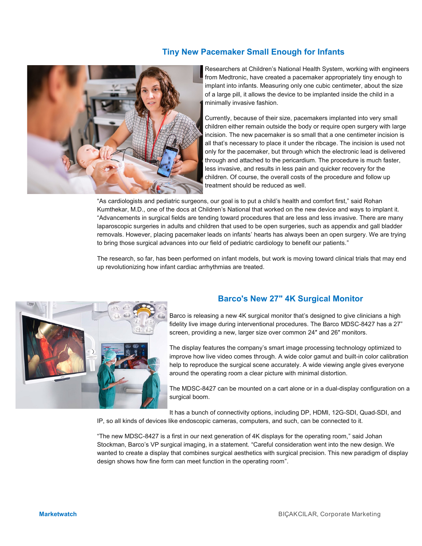# **Tiny New Pacemaker Small Enough for Infants**



Researchers at Children's National Health System, working with engineers from Medtronic, have created a pacemaker appropriately tiny enough to implant into infants. Measuring only one cubic centimeter, about the size of a large pill, it allows the device to be implanted inside the child in a minimally invasive fashion.

Currently, because of their size, pacemakers implanted into very small children either remain outside the body or require open surgery with large incision. The new pacemaker is so small that a one centimeter incision is all that's necessary to place it under the ribcage. The incision is used not only for the pacemaker, but through which the electronic lead is delivered through and attached to the pericardium. The procedure is much faster, less invasive, and results in less pain and quicker recovery for the children. Of course, the overall costs of the procedure and follow up treatment should be reduced as well.

"As cardiologists and pediatric surgeons, our goal is to put a child's health and comfort first," said Rohan Kumthekar, M.D., one of the docs at Children's National that worked on the new device and ways to implant it. "Advancements in surgical fields are tending toward procedures that are less and less invasive. There are many laparoscopic surgeries in adults and children that used to be open surgeries, such as appendix and gall bladder removals. However, placing pacemaker leads on infants' hearts has always been an open surgery. We are trying to bring those surgical advances into our field of pediatric cardiology to benefit our patients."

The research, so far, has been performed on infant models, but work is moving toward clinical trials that may end up revolutionizing how infant cardiac arrhythmias are treated.



# **Barco's New 27" 4K Surgical Monitor**

Barco is releasing a new 4K surgical monitor that's designed to give clinicians a high fidelity live image during interventional procedures. The Barco MDSC-8427 has a 27" screen, providing a new, larger size over common 24″ and 26″ monitors.

The display features the company's smart image processing technology optimized to improve how live video comes through. A wide color gamut and built-in color calibration help to reproduce the surgical scene accurately. A wide viewing angle gives everyone around the operating room a clear picture with minimal distortion.

The MDSC-8427 can be mounted on a cart alone or in a dual-display configuration on a surgical boom.

It has a bunch of connectivity options, including DP, HDMI, 12G-SDI, Quad-SDI, and

IP, so all kinds of devices like endoscopic cameras, computers, and such, can be connected to it.

"The new MDSC-8427 is a first in our next generation of 4K displays for the operating room," said Johan Stockman, Barco's VP surgical imaging, in a statement. "Careful consideration went into the new design. We wanted to create a display that combines surgical aesthetics with surgical precision. This new paradigm of display design shows how fine form can meet function in the operating room".